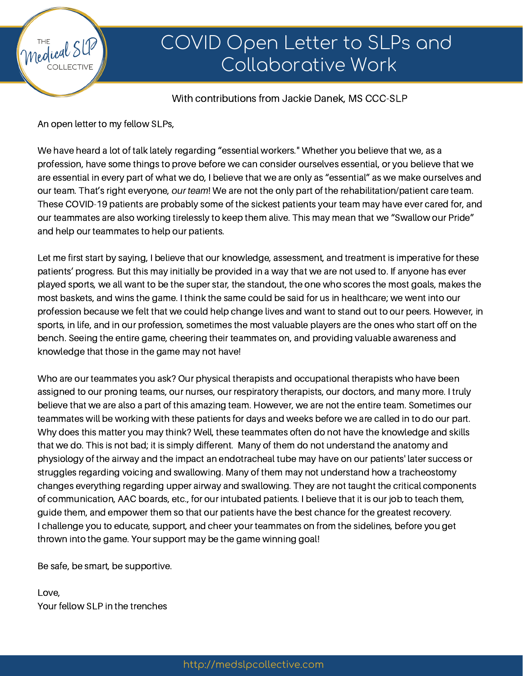

### With contributions from Jackie Danek, MS CCC-SLP

An open letter to my fellow SLPs,

Medical S

We have heard a lot of talk lately regarding "essential workers." Whether you believe that we, as a profession, have some things to prove before we can consider ourselves essential, or you believe that we are essential in every part of what we do, I believe that we are only as "essential" as we make ourselves and our team. That's right everyone, *our team*! We are not the only part of the rehabilitation/patient care team. These COVID-19 patients are probably some of the sickest patients your team may have ever cared for, and our teammates are also working tirelessly to keep them alive. This may mean that we "Swallow our Pride" and help our teammates to help our patients.

Let me first start by saying, I believe that our knowledge, assessment, and treatment is imperative for these patients' progress. But this may initially be provided in a way that we are not used to. If anyone has ever played sports, we all want to be the super star, the standout, the one who scores the most goals, makes the most baskets, and wins the game. I think the same could be said for us in healthcare; we went into our profession because we felt that we could help change lives and want to stand out to our peers. However, in sports, in life, and in our profession, sometimes the most valuable players are the ones who start off on the bench. Seeing the entire game, cheering their teammates on, and providing valuable awareness and knowledge that those in the game may not have!

Who are our teammates you ask? Our physical therapists and occupational therapists who have been assigned to our proning teams, our nurses, our respiratory therapists, our doctors, and many more. I truly believe that we are also a part of this amazing team. However, we are not the entire team. Sometimes our teammates will be working with these patients for days and weeks before we are called in to do our part. Why does this matter you may think? Well, these teammates often do not have the knowledge and skills that we do. This is not bad; it is simply different. Many of them do not understand the anatomy and physiology of the airway and the impact an endotracheal tube may have on our patients' later success or struggles regarding voicing and swallowing. Many of them may not understand how a tracheostomy changes everything regarding upper airway and swallowing. They are not taught the critical components of communication, AAC boards, etc., for our intubated patients. I believe that it is our job to teach them, guide them, and empower them so that our patients have the best chance for the greatest recovery. I challenge you to educate, support, and cheer your teammates on from the sidelines, before you get thrown into the game. Your support may be the game winning goal!

Be safe, be smart, be supportive.

Love, Your fellow SLP in the trenches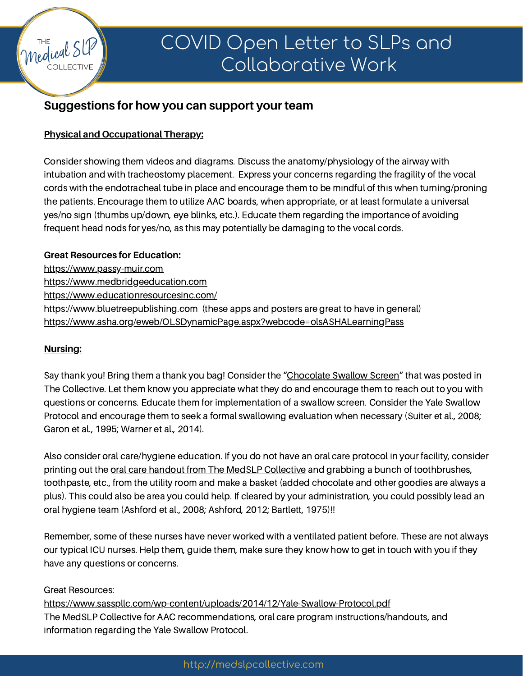

# COVID Open Letter to SLPs and Collaborative Work

## **Suggestions for how you can support your team**

### **Physical and Occupational Therapy:**

Consider showing them videos and diagrams. Discuss the anatomy/physiology of the airway with intubation and with tracheostomy placement. Express your concerns regarding the fragility of the vocal cords with the endotracheal tube in place and encourage them to be mindful of this when turning/proning the patients. Encourage them to utilize AAC boards, when appropriate, or at least formulate a universal yes/no sign (thumbs up/down, eye blinks, etc.). Educate them regarding the importance of avoiding frequent head nods for yes/no, as this may potentially be damaging to the vocal cords.

#### **Great Resources for Education:**

[https://www.passy-muir.com](https://www.passy-muir.com/)

[https://www.medbridgeeducation.com](https://www.medbridgeeducation.com/)

<https://www.educationresourcesinc.com/>

[https://www.bluetreepublishing.com](https://www.bluetreepublishing.com/) (these apps and posters are great to have in general) <https://www.asha.org/eweb/OLSDynamicPage.aspx?webcode=olsASHALearningPass>

### **Nursing:**

Say thank you! Bring them a thank you bag! Consider the ["Chocolate](https://www.facebook.com/groups/medslpcollective/permalink/1678609435637919/) Swallow Screen" that was posted in The Collective. Let them know you appreciate what they do and encourage them to reach out to you with questions or concerns. Educate them for implementation of a swallow screen. Consider the Yale Swallow Protocol and encourage them to seek a formal swallowing evaluation when necessary (Suiter et al., 2008; Garon et al., 1995; Warner et al., 2014).

Also consider oral care/hygiene education. If you do not have an oral care protocol in your facility, consider printing out the oral care handout from The MedSLP [Collective](https://medslpcollective.com/oral-hygiene-toothbrushings-role-in-the-prevention-of-pneumonia-in-people-with-dysphagia/) and grabbing a bunch of toothbrushes, toothpaste, etc., from the utility room and make a basket (added chocolate and other goodies are always a plus). This could also be area you could help. If cleared by your administration, you could possibly lead an oral hygiene team (Ashford et al., 2008; Ashford, 2012; Bartlett, 1975)!!

Remember, some of these nurses have never worked with a ventilated patient before. These are not always our typical ICU nurses. Help them, guide them, make sure they know how to get in touch with you if they have any questions or concerns.

### Great Resources:

<https://www.sasspllc.com/wp-content/uploads/2014/12/Yale-Swallow-Protocol.pdf> The MedSLP Collective for AAC recommendations, oral care program instructions/handouts, and information regarding the Yale Swallow Protocol.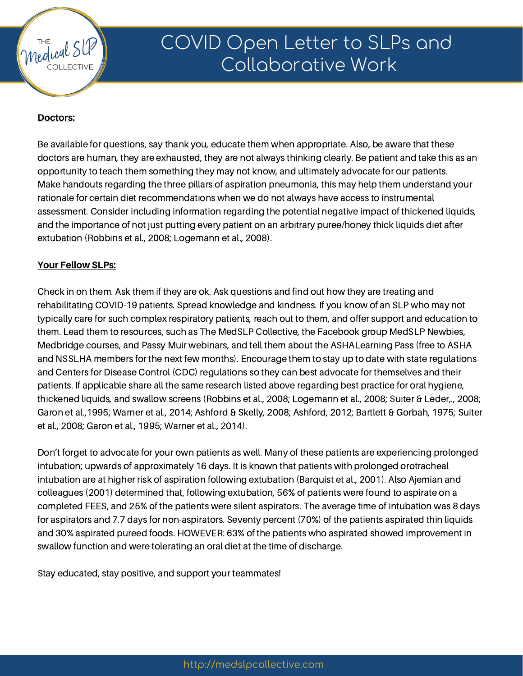

# COVID Open Letter to SLPs and Collaborative Work

### **Doctors:**

Be available for questions, say thank you, educate them when appropriate. Also, be aware that these doctors are human, they are exhausted, they are not always thinking clearly. Be patient and take this as an opportunity to teach them something they may not know, and ultimately advocate for our patients. Make handouts regarding the three pillars of aspiration pneumonia, this may help them understand your rationale for certain diet recommendations when we do not always have access to instrumental assessment. Consider including information regarding the potential negative impact of thickened liquids, and the importance of not just putting every patient on an arbitrary puree/honey thick liquids diet after extubation (Robbins et al., 2008; Logemann et al., 2008).

#### **Your Fellow SLPs:**

Check in on them. Ask them if they are ok. Ask questions and find out how they are treating and rehabilitating COVID-19 patients. Spread knowledge and kindness. If you know of an SLP who may not typically care for such complex respiratory patients, reach out to them, and offer support and education to them. Lead them to resources, such as The MedSLP Collective, the Facebook group MedSLP Newbies, Medbridge courses, and Passy Muir webinars, and tell them about the ASHALearning Pass (free to ASHA and NSSLHA members for the next few months). Encourage them to stay up to date with state regulations and Centers for Disease Control (CDC) regulations so they can best advocate for themselves and their patients. If applicable share all the same research listed above regarding best practice for oral hygiene, thickened liquids, and swallow screens (Robbins et al., 2008; Logemann et al., 2008; Suiter & Leder,., 2008; Garon et al.,1995; Warner et al., 2014; Ashford & Skelly, 2008; Ashford, 2012; Bartlett & Gorbah, 1975; Suiter et al., 2008; Garon et al., 1995; Warner et al., 2014).

Don't forget to advocate for your own patients as well. Many of these patients are experiencing prolonged intubation; upwards of approximately 16 days. It is known that patients with prolonged orotracheal intubation are at higher risk of aspiration following extubation (Barquist et al., 2001). Also Ajemian and colleagues (2001) determined that, following extubation, 56% of patients were found to aspirate on a completed FEES, and 25% of the patients were silent aspirators. The average time of intubation was 8 days for aspirators and 7.7 days for non-aspirators. Seventy percent (70%) of the patients aspirated thin liquids and 30% aspirated pureed foods. HOWEVER: 63% of the patients who aspirated showed improvement in swallow function and were tolerating an oral diet at the time of discharge.

Stay educated, stay positive, and support your teammates!